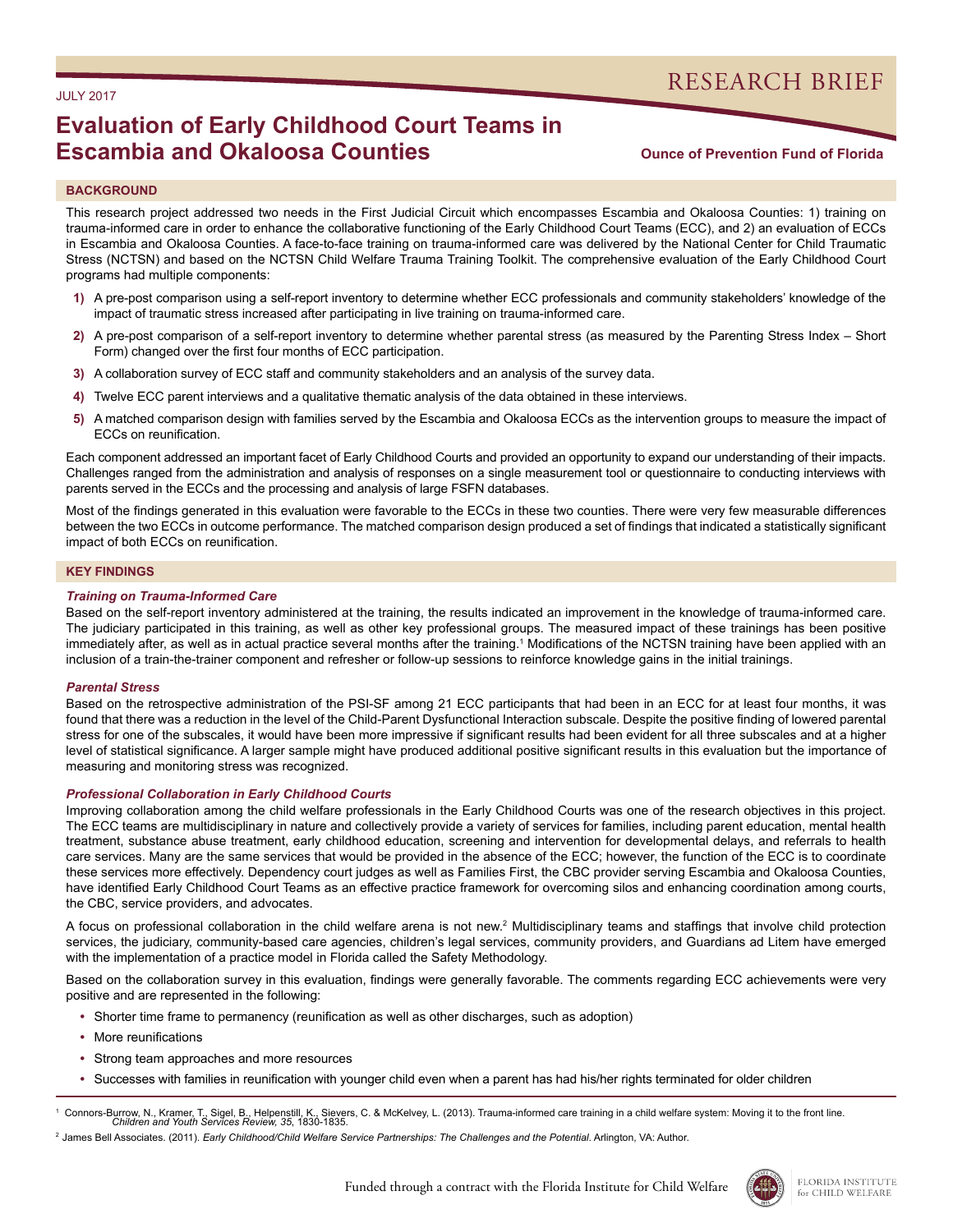# JULY 2017

# RESEARCH BRIEF

# **Evaluation of Early Childhood Court Teams in Escambia and Okaloosa Counties**

# **Ounce of Prevention Fund of Florida**

## **BACKGROUND**

This research project addressed two needs in the First Judicial Circuit which encompasses Escambia and Okaloosa Counties: 1) training on trauma-informed care in order to enhance the collaborative functioning of the Early Childhood Court Teams (ECC), and 2) an evaluation of ECCs in Escambia and Okaloosa Counties. A face-to-face training on trauma-informed care was delivered by the National Center for Child Traumatic Stress (NCTSN) and based on the NCTSN Child Welfare Trauma Training Toolkit. The comprehensive evaluation of the Early Childhood Court programs had multiple components:

- **1)** A pre-post comparison using a self-report inventory to determine whether ECC professionals and community stakeholders' knowledge of the impact of traumatic stress increased after participating in live training on trauma-informed care.
- **2)** A pre-post comparison of a self-report inventory to determine whether parental stress (as measured by the Parenting Stress Index Short Form) changed over the first four months of ECC participation.
- **3)** A collaboration survey of ECC staff and community stakeholders and an analysis of the survey data.
- **4)** Twelve ECC parent interviews and a qualitative thematic analysis of the data obtained in these interviews.
- **5)** A matched comparison design with families served by the Escambia and Okaloosa ECCs as the intervention groups to measure the impact of ECCs on reunification.

Each component addressed an important facet of Early Childhood Courts and provided an opportunity to expand our understanding of their impacts. Challenges ranged from the administration and analysis of responses on a single measurement tool or questionnaire to conducting interviews with parents served in the ECCs and the processing and analysis of large FSFN databases.

Most of the findings generated in this evaluation were favorable to the ECCs in these two counties. There were very few measurable differences between the two ECCs in outcome performance. The matched comparison design produced a set of findings that indicated a statistically significant impact of both ECCs on reunification.

### **KEY FINDINGS**

#### *Training on Trauma-Informed Care*

Based on the self-report inventory administered at the training, the results indicated an improvement in the knowledge of trauma-informed care. The judiciary participated in this training, as well as other key professional groups. The measured impact of these trainings has been positive immediately after, as well as in actual practice several months after the training.<sup>1</sup> Modifications of the NCTSN training have been applied with an inclusion of a train-the-trainer component and refresher or follow-up sessions to reinforce knowledge gains in the initial trainings.

### *Parental Stress*

Based on the retrospective administration of the PSI-SF among 21 ECC participants that had been in an ECC for at least four months, it was found that there was a reduction in the level of the Child-Parent Dysfunctional Interaction subscale. Despite the positive finding of lowered parental stress for one of the subscales, it would have been more impressive if significant results had been evident for all three subscales and at a higher level of statistical significance. A larger sample might have produced additional positive significant results in this evaluation but the importance of measuring and monitoring stress was recognized.

### *Professional Collaboration in Early Childhood Courts*

Improving collaboration among the child welfare professionals in the Early Childhood Courts was one of the research objectives in this project. The ECC teams are multidisciplinary in nature and collectively provide a variety of services for families, including parent education, mental health treatment, substance abuse treatment, early childhood education, screening and intervention for developmental delays, and referrals to health care services. Many are the same services that would be provided in the absence of the ECC; however, the function of the ECC is to coordinate these services more effectively. Dependency court judges as well as Families First, the CBC provider serving Escambia and Okaloosa Counties, have identified Early Childhood Court Teams as an effective practice framework for overcoming silos and enhancing coordination among courts, the CBC, service providers, and advocates.

A focus on professional collaboration in the child welfare arena is not new.<sup>2</sup> Multidisciplinary teams and staffings that involve child protection services, the judiciary, community-based care agencies, children's legal services, community providers, and Guardians ad Litem have emerged with the implementation of a practice model in Florida called the Safety Methodology.

Based on the collaboration survey in this evaluation, findings were generally favorable. The comments regarding ECC achievements were very positive and are represented in the following:

- **•** Shorter time frame to permanency (reunification as well as other discharges, such as adoption)
- **•** More reunifications
- **•** Strong team approaches and more resources
- **•** Successes with families in reunification with younger child even when a parent has had his/her rights terminated for older children

1 Connors-Burrow, N., Kramer, T., Sigel, B., Helpenstill, K., Sievers, C. & McKelvey, L. (2013). Trauma-informed care training in a child welfare system: Moving it to the front line.<br>Children and Youth Services Review, 35, 1



<sup>&</sup>lt;sup>2</sup> James Bell Associates. (2011). *Early Childhood/Child Welfare Service Partnerships: The Challenges and the Potential. Arlington, VA: Author.*